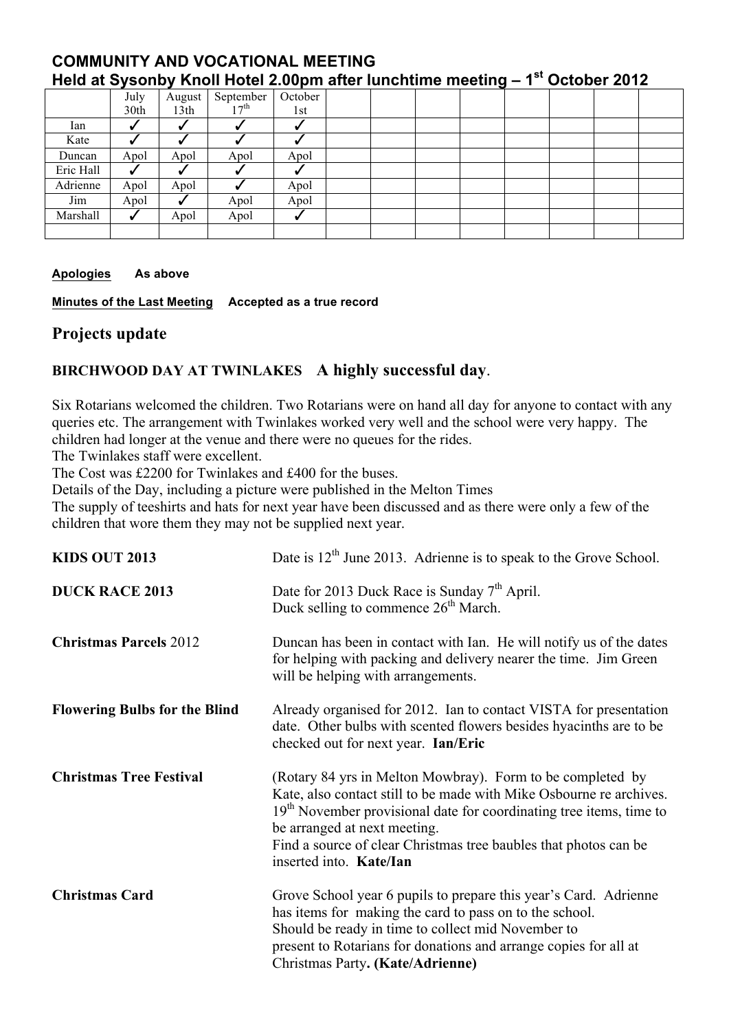## **COMMUNITY AND VOCATIONAL MEETING Held at Sysonby Knoll Hotel 2.00pm after lunchtime meeting – 1st October 2012**

|           | July | August           | September        | October |  |  |  |  |
|-----------|------|------------------|------------------|---------|--|--|--|--|
|           | 30th | 13 <sup>th</sup> | 17 <sup>th</sup> | 1st     |  |  |  |  |
| Ian       |      |                  |                  |         |  |  |  |  |
| Kate      |      |                  |                  |         |  |  |  |  |
| Duncan    | Apol | Apol             | Apol             | Apol    |  |  |  |  |
| Eric Hall |      |                  |                  |         |  |  |  |  |
| Adrienne  | Apol | Apol             |                  | Apol    |  |  |  |  |
| Jim       | Apol |                  | Apol             | Apol    |  |  |  |  |
| Marshall  | √    | Apol             | Apol             | -       |  |  |  |  |
|           |      |                  |                  |         |  |  |  |  |

## **Apologies As above**

**Minutes of the Last Meeting Accepted as a true record**

## **Projects update**

## **BIRCHWOOD DAY AT TWINLAKES A highly successful day**.

Six Rotarians welcomed the children. Two Rotarians were on hand all day for anyone to contact with any queries etc. The arrangement with Twinlakes worked very well and the school were very happy. The children had longer at the venue and there were no queues for the rides.

The Twinlakes staff were excellent.

The Cost was £2200 for Twinlakes and £400 for the buses.

Details of the Day, including a picture were published in the Melton Times

The supply of teeshirts and hats for next year have been discussed and as there were only a few of the children that wore them they may not be supplied next year.

| <b>KIDS OUT 2013</b>                 | Date is 12 <sup>th</sup> June 2013. Adrienne is to speak to the Grove School.                                                                                                                                                                                                                                                                       |
|--------------------------------------|-----------------------------------------------------------------------------------------------------------------------------------------------------------------------------------------------------------------------------------------------------------------------------------------------------------------------------------------------------|
| <b>DUCK RACE 2013</b>                | Date for 2013 Duck Race is Sunday 7 <sup>th</sup> April.<br>Duck selling to commence 26 <sup>th</sup> March.                                                                                                                                                                                                                                        |
| <b>Christmas Parcels 2012</b>        | Duncan has been in contact with Ian. He will notify us of the dates<br>for helping with packing and delivery nearer the time. Jim Green<br>will be helping with arrangements.                                                                                                                                                                       |
| <b>Flowering Bulbs for the Blind</b> | Already organised for 2012. Ian to contact VISTA for presentation<br>date. Other bulbs with scented flowers besides hyacinths are to be<br>checked out for next year. Ian/Eric                                                                                                                                                                      |
| <b>Christmas Tree Festival</b>       | (Rotary 84 yrs in Melton Mowbray). Form to be completed by<br>Kate, also contact still to be made with Mike Osbourne re archives.<br>19 <sup>th</sup> November provisional date for coordinating tree items, time to<br>be arranged at next meeting.<br>Find a source of clear Christmas tree baubles that photos can be<br>inserted into. Kate/Ian |
| <b>Christmas Card</b>                | Grove School year 6 pupils to prepare this year's Card. Adrienne<br>has items for making the card to pass on to the school.<br>Should be ready in time to collect mid November to<br>present to Rotarians for donations and arrange copies for all at<br>Christmas Party. (Kate/Adrienne)                                                           |